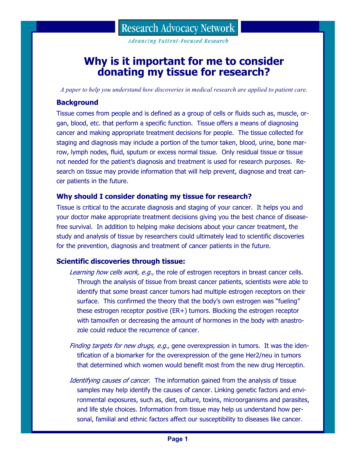**Advancing Patient-Focused Research** 

# **Why is it important for me to consider donating my tissue for research?**

*A paper to help you understand how discoveries in medical research are applied to patient care.* 

# **Background**

Tissue comes from people and is defined as a group of cells or fluids such as, muscle, organ, blood, etc. that perform a specific function. Tissue offers a means of diagnosing cancer and making appropriate treatment decisions for people. The tissue collected for staging and diagnosis may include a portion of the tumor taken, blood, urine, bone marrow, lymph nodes, fluid, sputum or excess normal tissue. Only residual tissue or tissue not needed for the patient's diagnosis and treatment is used for research purposes. Research on tissue may provide information that will help prevent, diagnose and treat cancer patients in the future.

# **Why should I consider donating my tissue for research?**

Tissue is critical to the accurate diagnosis and staging of your cancer. It helps you and your doctor make appropriate treatment decisions giving you the best chance of diseasefree survival. In addition to helping make decisions about your cancer treatment, the study and analysis of tissue by researchers could ultimately lead to scientific discoveries for the prevention, diagnosis and treatment of cancer patients in the future.

# **Scientific discoveries through tissue:**

- Learning how cells work, e.g., the role of estrogen receptors in breast cancer cells. Through the analysis of tissue from breast cancer patients, scientists were able to identify that some breast cancer tumors had multiple estrogen receptors on their surface. This confirmed the theory that the body's own estrogen was "fueling" these estrogen receptor positive (ER+) tumors. Blocking the estrogen receptor with tamoxifen or decreasing the amount of hormones in the body with anastrozole could reduce the recurrence of cancer.
- Finding targets for new drugs, e.g., gene overexpression in tumors. It was the identification of a biomarker for the overexpression of the gene Her2/neu in tumors that determined which women would benefit most from the new drug Herceptin.
- Identifying causes of cancer. The information gained from the analysis of tissue samples may help identify the causes of cancer. Linking genetic factors and environmental exposures, such as, diet, culture, toxins, microorganisms and parasites, and life style choices. Information from tissue may help us understand how personal, familial and ethnic factors affect our susceptibility to diseases like cancer.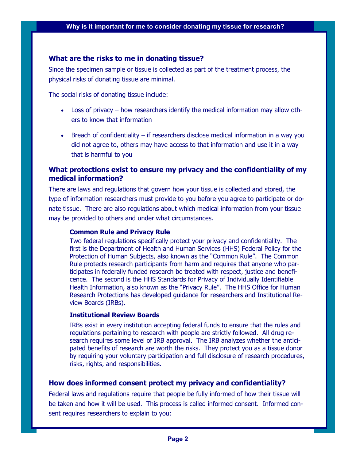#### **What are the risks to me in donating tissue?**

Since the specimen sample or tissue is collected as part of the treatment process, the physical risks of donating tissue are minimal.

The social risks of donating tissue include:

- Loss of privacy how researchers identify the medical information may allow others to know that information
- Breach of confidentiality if researchers disclose medical information in a way you did not agree to, others may have access to that information and use it in a way that is harmful to you

# **What protections exist to ensure my privacy and the confidentiality of my medical information?**

There are laws and regulations that govern how your tissue is collected and stored, the type of information researchers must provide to you before you agree to participate or donate tissue. There are also regulations about which medical information from your tissue may be provided to others and under what circumstances.

#### **Common Rule and Privacy Rule**

Two federal regulations specifically protect your privacy and confidentiality. The first is the Department of Health and Human Services (HHS) Federal Policy for the Protection of Human Subjects, also known as the "Common Rule". The Common Rule protects research participants from harm and requires that anyone who participates in federally funded research be treated with respect, justice and beneficence. The second is the HHS Standards for Privacy of Individually Identifiable Health Information, also known as the "Privacy Rule". The HHS Office for Human Research Protections has developed guidance for researchers and Institutional Review Boards (IRBs).

#### **Institutional Review Boards**

IRBs exist in every institution accepting federal funds to ensure that the rules and regulations pertaining to research with people are strictly followed. All drug research requires some level of IRB approval. The IRB analyzes whether the anticipated benefits of research are worth the risks. They protect you as a tissue donor by requiring your voluntary participation and full disclosure of research procedures, risks, rights, and responsibilities.

# **How does informed consent protect my privacy and confidentiality?**

Federal laws and regulations require that people be fully informed of how their tissue will be taken and how it will be used. This process is called informed consent. Informed consent requires researchers to explain to you: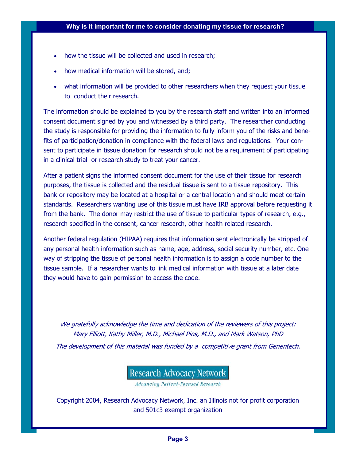- how the tissue will be collected and used in research;
- how medical information will be stored, and;
- what information will be provided to other researchers when they request your tissue to conduct their research.

The information should be explained to you by the research staff and written into an informed consent document signed by you and witnessed by a third party. The researcher conducting the study is responsible for providing the information to fully inform you of the risks and benefits of participation/donation in compliance with the federal laws and regulations. Your consent to participate in tissue donation for research should not be a requirement of participating in a clinical trial or research study to treat your cancer.

After a patient signs the informed consent document for the use of their tissue for research purposes, the tissue is collected and the residual tissue is sent to a tissue repository. This bank or repository may be located at a hospital or a central location and should meet certain standards. Researchers wanting use of this tissue must have IRB approval before requesting it from the bank. The donor may restrict the use of tissue to particular types of research, e.g., research specified in the consent, cancer research, other health related research.

Another federal regulation (HIPAA) requires that information sent electronically be stripped of any personal health information such as name, age, address, social security number, etc. One way of stripping the tissue of personal health information is to assign a code number to the tissue sample. If a researcher wants to link medical information with tissue at a later date they would have to gain permission to access the code.

We gratefully acknowledge the time and dedication of the reviewers of this project: Mary Elliott, Kathy Miller, M.D., Michael Pins, M.D., and Mark Watson, PhD The development of this material was funded by a competitive grant from Genentech.

# **Research Advocacy Network**

Advancing Patient-Focused Research

Copyright 2004, Research Advocacy Network, Inc. an Illinois not for profit corporation and 501c3 exempt organization